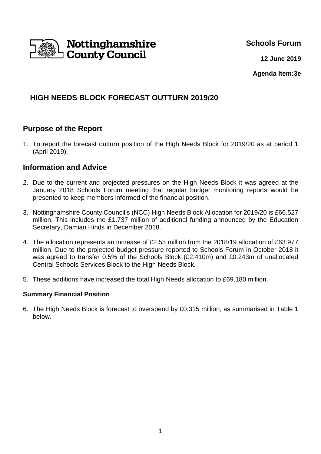

## **Schools Forum**

**12 June 2019**

**Agenda Item:3e**

# **HIGH NEEDS BLOCK FORECAST OUTTURN 2019/20**

# **Purpose of the Report**

1. To report the forecast outturn position of the High Needs Block for 2019/20 as at period 1 (April 2019).

## **Information and Advice**

- 2. Due to the current and projected pressures on the High Needs Block it was agreed at the January 2018 Schools Forum meeting that regular budget monitoring reports would be presented to keep members informed of the financial position.
- 3. Nottinghamshire County Council's (NCC) High Needs Block Allocation for 2019/20 is £66.527 million. This includes the £1.737 million of additional funding announced by the Education Secretary, Damian Hinds in December 2018.
- 4. The allocation represents an increase of £2.55 million from the 2018/19 allocation of £63.977 million. Due to the projected budget pressure reported to Schools Forum in October 2018 it was agreed to transfer 0.5% of the Schools Block (£2.410m) and £0.243m of unallocated Central Schools Services Block to the High Needs Block.
- 5. These additions have increased the total High Needs allocation to £69.180 million.

### **Summary Financial Position**

6. The High Needs Block is forecast to overspend by £0.315 million, as summarised in Table 1 below.